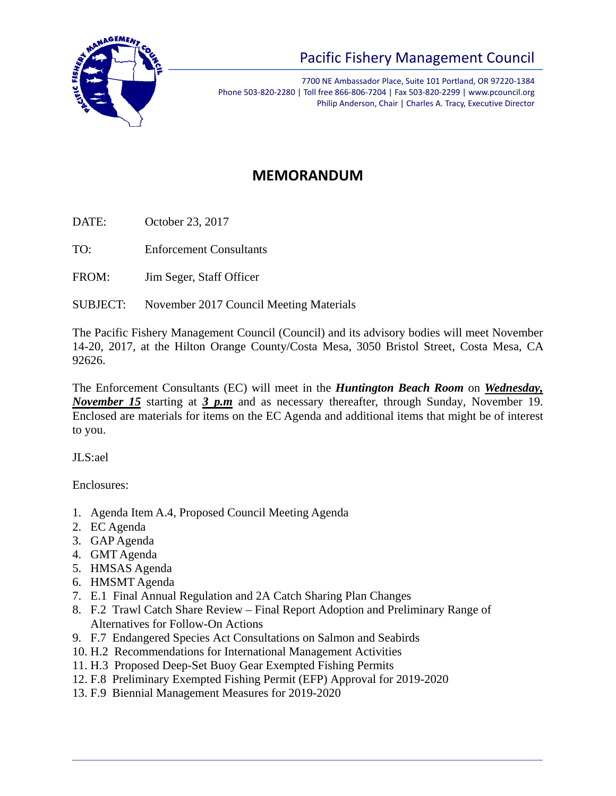

## Pacific Fishery Management Council

7700 NE Ambassador Place, Suite 101 Portland, OR 97220-1384 Phone 503-820-2280 | Toll free 866-806-7204 | Fax 503-820-2299 | www.pcouncil.org Philip Anderson, Chair | Charles A. Tracy, Executive Director

## **MEMORANDUM**

DATE: October 23, 2017

TO: Enforcement Consultants

FROM: Jim Seger, Staff Officer

SUBJECT: November 2017 Council Meeting Materials

The Pacific Fishery Management Council (Council) and its advisory bodies will meet November 14-20, 2017, at the Hilton Orange County/Costa Mesa, 3050 Bristol Street, Costa Mesa, CA 92626.

The Enforcement Consultants (EC) will meet in the *Huntington Beach Room* on *Wednesday, November 15* starting at *3 p.m* and as necessary thereafter, through Sunday, November 19. Enclosed are materials for items on the EC Agenda and additional items that might be of interest to you.

JLS:ael

Enclosures:

- 1. Agenda Item A.4, Proposed Council Meeting Agenda
- 2. EC Agenda
- 3. GAP Agenda
- 4. GMT Agenda
- 5. HMSAS Agenda
- 6. HMSMT Agenda
- 7. E.1 Final Annual Regulation and 2A Catch Sharing Plan Changes
- 8. F.2 Trawl Catch Share Review Final Report Adoption and Preliminary Range of Alternatives for Follow-On Actions
- 9. F.7 Endangered Species Act Consultations on Salmon and Seabirds
- 10. H.2 Recommendations for International Management Activities
- 11. H.3 Proposed Deep-Set Buoy Gear Exempted Fishing Permits
- 12. F.8 Preliminary Exempted Fishing Permit (EFP) Approval for 2019-2020
- 13. F.9 Biennial Management Measures for 2019-2020